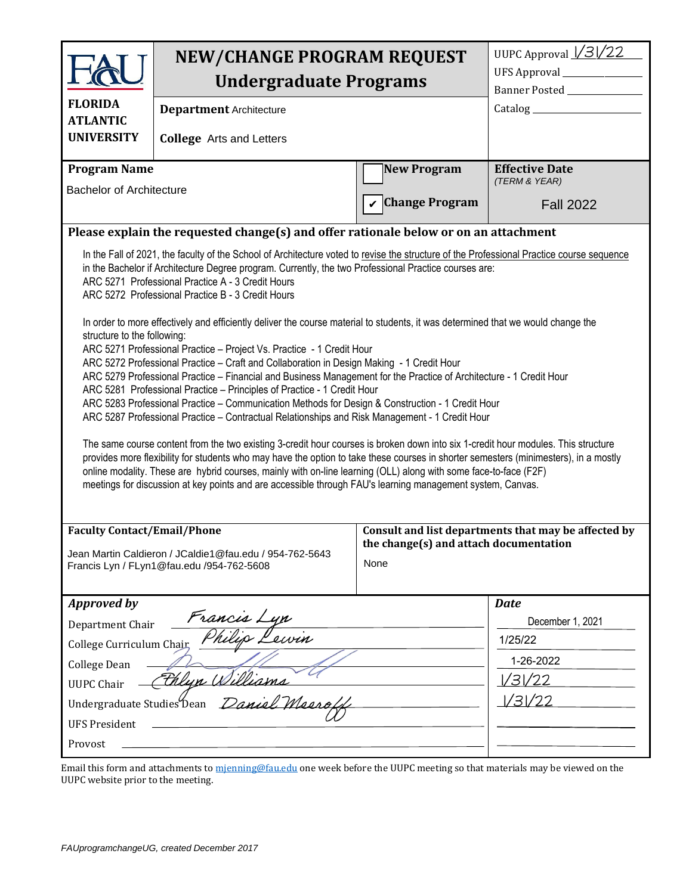|                                                                                                                                                                                                                                                                                                                                                                                                                                                                                                                                                                            | <b>NEW/CHANGE PROGRAM REQUEST</b>                                                                    |                                                                                                        | UUPC Approval $\frac{\sqrt{3}}{22}$ |  |  |  |
|----------------------------------------------------------------------------------------------------------------------------------------------------------------------------------------------------------------------------------------------------------------------------------------------------------------------------------------------------------------------------------------------------------------------------------------------------------------------------------------------------------------------------------------------------------------------------|------------------------------------------------------------------------------------------------------|--------------------------------------------------------------------------------------------------------|-------------------------------------|--|--|--|
|                                                                                                                                                                                                                                                                                                                                                                                                                                                                                                                                                                            |                                                                                                      | UFS Approval ______________                                                                            |                                     |  |  |  |
|                                                                                                                                                                                                                                                                                                                                                                                                                                                                                                                                                                            | <b>Undergraduate Programs</b>                                                                        |                                                                                                        | Banner Posted ____________          |  |  |  |
| <b>FLORIDA</b><br><b>ATLANTIC</b>                                                                                                                                                                                                                                                                                                                                                                                                                                                                                                                                          | <b>Department Architecture</b>                                                                       |                                                                                                        |                                     |  |  |  |
| <b>UNIVERSITY</b>                                                                                                                                                                                                                                                                                                                                                                                                                                                                                                                                                          | <b>College</b> Arts and Letters                                                                      |                                                                                                        |                                     |  |  |  |
| <b>Program Name</b>                                                                                                                                                                                                                                                                                                                                                                                                                                                                                                                                                        |                                                                                                      | <b>New Program</b>                                                                                     | <b>Effective Date</b>               |  |  |  |
| <b>Bachelor of Architecture</b>                                                                                                                                                                                                                                                                                                                                                                                                                                                                                                                                            |                                                                                                      |                                                                                                        | (TERM & YEAR)                       |  |  |  |
|                                                                                                                                                                                                                                                                                                                                                                                                                                                                                                                                                                            |                                                                                                      | <b>Change Program</b>                                                                                  | <b>Fall 2022</b>                    |  |  |  |
|                                                                                                                                                                                                                                                                                                                                                                                                                                                                                                                                                                            | Please explain the requested change(s) and offer rationale below or on an attachment                 |                                                                                                        |                                     |  |  |  |
| In the Fall of 2021, the faculty of the School of Architecture voted to revise the structure of the Professional Practice course sequence<br>in the Bachelor if Architecture Degree program. Currently, the two Professional Practice courses are:<br>ARC 5271 Professional Practice A - 3 Credit Hours<br>ARC 5272 Professional Practice B - 3 Credit Hours<br>In order to more effectively and efficiently deliver the course material to students, it was determined that we would change the<br>structure to the following:                                            |                                                                                                      |                                                                                                        |                                     |  |  |  |
| ARC 5271 Professional Practice - Project Vs. Practice - 1 Credit Hour<br>ARC 5272 Professional Practice - Craft and Collaboration in Design Making - 1 Credit Hour<br>ARC 5279 Professional Practice - Financial and Business Management for the Practice of Architecture - 1 Credit Hour<br>ARC 5281 Professional Practice - Principles of Practice - 1 Credit Hour<br>ARC 5283 Professional Practice - Communication Methods for Design & Construction - 1 Credit Hour<br>ARC 5287 Professional Practice - Contractual Relationships and Risk Management - 1 Credit Hour |                                                                                                      |                                                                                                        |                                     |  |  |  |
| The same course content from the two existing 3-credit hour courses is broken down into six 1-credit hour modules. This structure<br>provides more flexibility for students who may have the option to take these courses in shorter semesters (minimesters), in a mostly<br>online modality. These are hybrid courses, mainly with on-line learning (OLL) along with some face-to-face (F2F)<br>meetings for discussion at key points and are accessible through FAU's learning management system, Canvas.                                                                |                                                                                                      |                                                                                                        |                                     |  |  |  |
| <b>Faculty Contact/Email/Phone</b>                                                                                                                                                                                                                                                                                                                                                                                                                                                                                                                                         | Jean Martin Caldieron / JCaldie1@fau.edu / 954-762-5643<br>Francis Lyn / FLyn1@fau.edu /954-762-5608 | Consult and list departments that may be affected by<br>the change(s) and attach documentation<br>None |                                     |  |  |  |
| <b>Approved by</b>                                                                                                                                                                                                                                                                                                                                                                                                                                                                                                                                                         |                                                                                                      |                                                                                                        | <b>Date</b>                         |  |  |  |
| Francis Lyn<br>Department Chair                                                                                                                                                                                                                                                                                                                                                                                                                                                                                                                                            |                                                                                                      | December 1, 2021                                                                                       |                                     |  |  |  |
| College Curriculum Chair,                                                                                                                                                                                                                                                                                                                                                                                                                                                                                                                                                  |                                                                                                      | 1/25/22                                                                                                |                                     |  |  |  |
| College Dean                                                                                                                                                                                                                                                                                                                                                                                                                                                                                                                                                               |                                                                                                      | 1-26-2022                                                                                              |                                     |  |  |  |
| Filyn Williams<br><b>UUPC Chair</b>                                                                                                                                                                                                                                                                                                                                                                                                                                                                                                                                        |                                                                                                      | 1/31/22                                                                                                |                                     |  |  |  |
|                                                                                                                                                                                                                                                                                                                                                                                                                                                                                                                                                                            | Undergraduate Studies Dean Daniel Meerol                                                             |                                                                                                        | 1/31/22                             |  |  |  |
| <b>UFS President</b>                                                                                                                                                                                                                                                                                                                                                                                                                                                                                                                                                       |                                                                                                      |                                                                                                        |                                     |  |  |  |
| Provost                                                                                                                                                                                                                                                                                                                                                                                                                                                                                                                                                                    |                                                                                                      |                                                                                                        |                                     |  |  |  |

Email this form and attachments to [mjenning@fau.edu](mailto:mjenning@fau.edu) one week before the UUPC meeting so that materials may be viewed on the UUPC website prior to the meeting.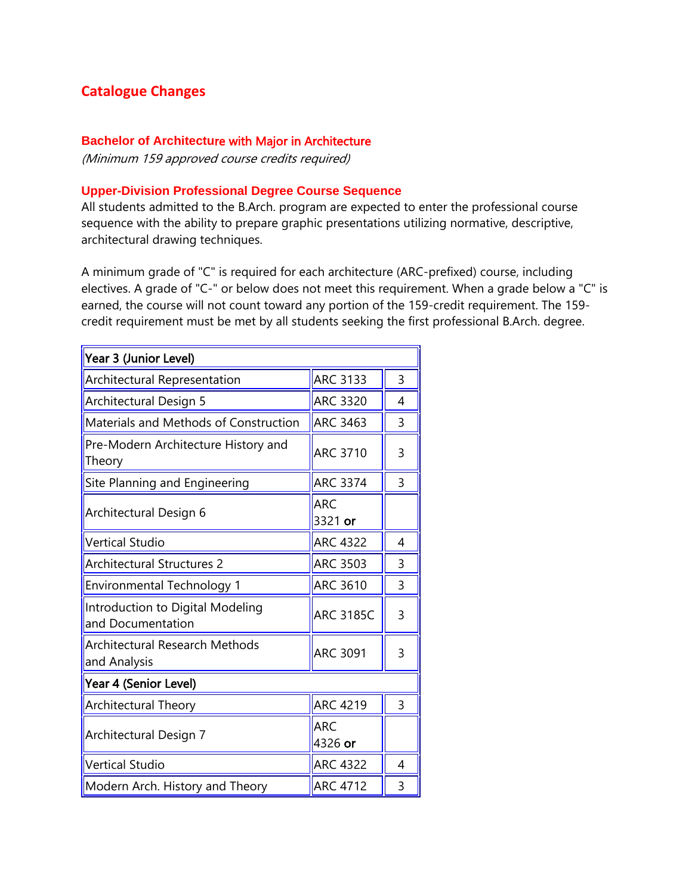# **Catalogue Changes**

## **Bachelor of Architectu**re with Major in Architecture

(Minimum 159 approved course credits required)

## **Upper-Division Professional Degree Course Sequence**

All students admitted to the B.Arch. program are expected to enter the professional course sequence with the ability to prepare graphic presentations utilizing normative, descriptive, architectural drawing techniques.

A minimum grade of "C" is required for each architecture (ARC-prefixed) course, including electives. A grade of "C-" or below does not meet this requirement. When a grade below a "C" is earned, the course will not count toward any portion of the 159-credit requirement. The 159 credit requirement must be met by all students seeking the first professional B.Arch. degree.

| Year 3 (Junior Level)                                 |                       |                |  |  |  |  |
|-------------------------------------------------------|-----------------------|----------------|--|--|--|--|
| Architectural Representation                          | <b>ARC 3133</b>       | 3              |  |  |  |  |
| Architectural Design 5                                | <b>ARC 3320</b>       | 4              |  |  |  |  |
| Materials and Methods of Construction                 | <b>ARC 3463</b>       | 3              |  |  |  |  |
| Pre-Modern Architecture History and<br>Theory         | <b>ARC 3710</b>       | 3              |  |  |  |  |
| Site Planning and Engineering                         | <b>ARC 3374</b>       | $\overline{3}$ |  |  |  |  |
| Architectural Design 6                                | <b>ARC</b><br>3321 or |                |  |  |  |  |
| <b>Vertical Studio</b>                                | <b>ARC 4322</b>       | 4              |  |  |  |  |
| <b>Architectural Structures 2</b>                     | <b>ARC 3503</b>       | 3              |  |  |  |  |
| <b>Environmental Technology 1</b>                     | <b>ARC 3610</b>       | 3              |  |  |  |  |
| Introduction to Digital Modeling<br>and Documentation | <b>ARC 3185C</b>      | 3              |  |  |  |  |
| Architectural Research Methods<br>and Analysis        | <b>ARC 3091</b>       | 3              |  |  |  |  |
| Year 4 (Senior Level)                                 |                       |                |  |  |  |  |
| <b>Architectural Theory</b>                           | <b>ARC 4219</b>       | $\overline{3}$ |  |  |  |  |
| Architectural Design 7                                | <b>ARC</b><br>4326 or |                |  |  |  |  |
| <b>Vertical Studio</b>                                | <b>ARC 4322</b>       | 4              |  |  |  |  |
| Modern Arch. History and Theory                       | <b>ARC 4712</b>       | 3              |  |  |  |  |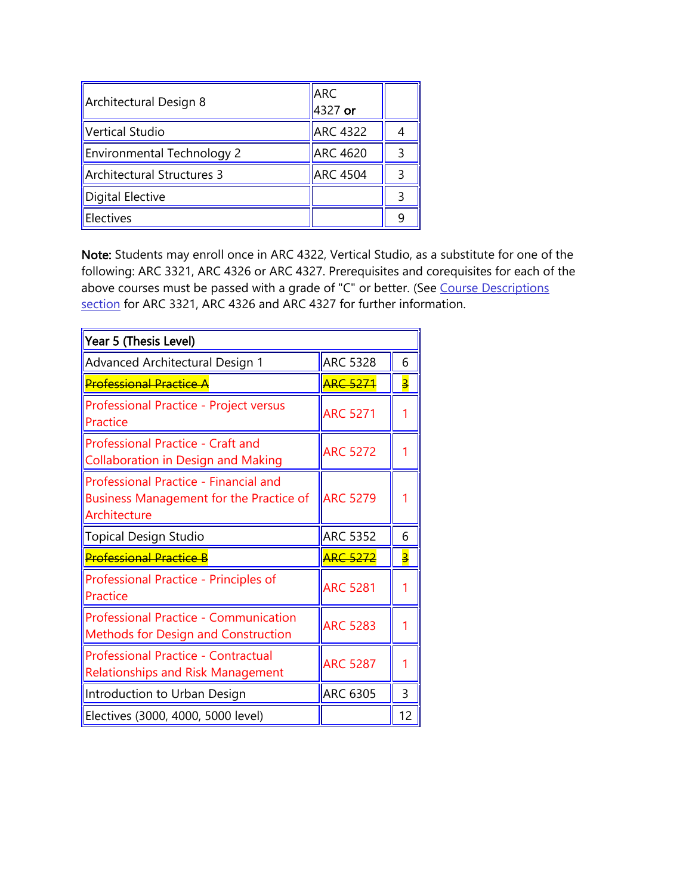| Architectural Design 8            | <b>ARC</b><br>4327 or |   |
|-----------------------------------|-----------------------|---|
| Vertical Studio                   | <b>ARC 4322</b>       |   |
| <b>Environmental Technology 2</b> | <b>ARC 4620</b>       | 3 |
| Architectural Structures 3        | <b>ARC 4504</b>       | 3 |
| Digital Elective                  |                       | 3 |
| Electives                         |                       | q |

Note: Students may enroll once in ARC 4322, Vertical Studio, as a substitute for one of the following: ARC 3321, ARC 4326 or ARC 4327. Prerequisites and corequisites for each of the above courses must be passed with a grade of "C" or better. (See Course Descriptions [section](https://www.fau.edu/academic/registrar/PREcatalog/architectureDES.php) for ARC 3321, ARC 4326 and ARC 4327 for further information.

| Year 5 (Thesis Level)                                                                                   |                 |                         |  |  |  |
|---------------------------------------------------------------------------------------------------------|-----------------|-------------------------|--|--|--|
| <b>Advanced Architectural Design 1</b>                                                                  | <b>ARC 5328</b> | 6                       |  |  |  |
| <u>Professional Practice A</u>                                                                          | <b>ARC 5271</b> | $\overline{\mathbf{3}}$ |  |  |  |
| <b>Professional Practice - Project versus</b><br>Practice                                               | <b>ARC 5271</b> |                         |  |  |  |
| Professional Practice - Craft and<br><b>Collaboration in Design and Making</b>                          | <b>ARC 5272</b> |                         |  |  |  |
| Professional Practice - Financial and<br><b>Business Management for the Practice of</b><br>Architecture | <b>ARC 5279</b> | 1                       |  |  |  |
| <b>Topical Design Studio</b>                                                                            | <b>ARC 5352</b> | 6                       |  |  |  |
| <b>Professional Practice B</b>                                                                          | <b>ARC 5272</b> | $\overline{\mathbf{3}}$ |  |  |  |
| Professional Practice - Principles of<br>Practice                                                       | <b>ARC 5281</b> |                         |  |  |  |
| <b>Professional Practice - Communication</b><br><b>Methods for Design and Construction</b>              | <b>ARC 5283</b> | 1                       |  |  |  |
| Professional Practice - Contractual<br><b>Relationships and Risk Management</b>                         | <b>ARC 5287</b> |                         |  |  |  |
| Introduction to Urban Design                                                                            | <b>ARC 6305</b> | 3                       |  |  |  |
| Electives (3000, 4000, 5000 level)                                                                      |                 | 12                      |  |  |  |